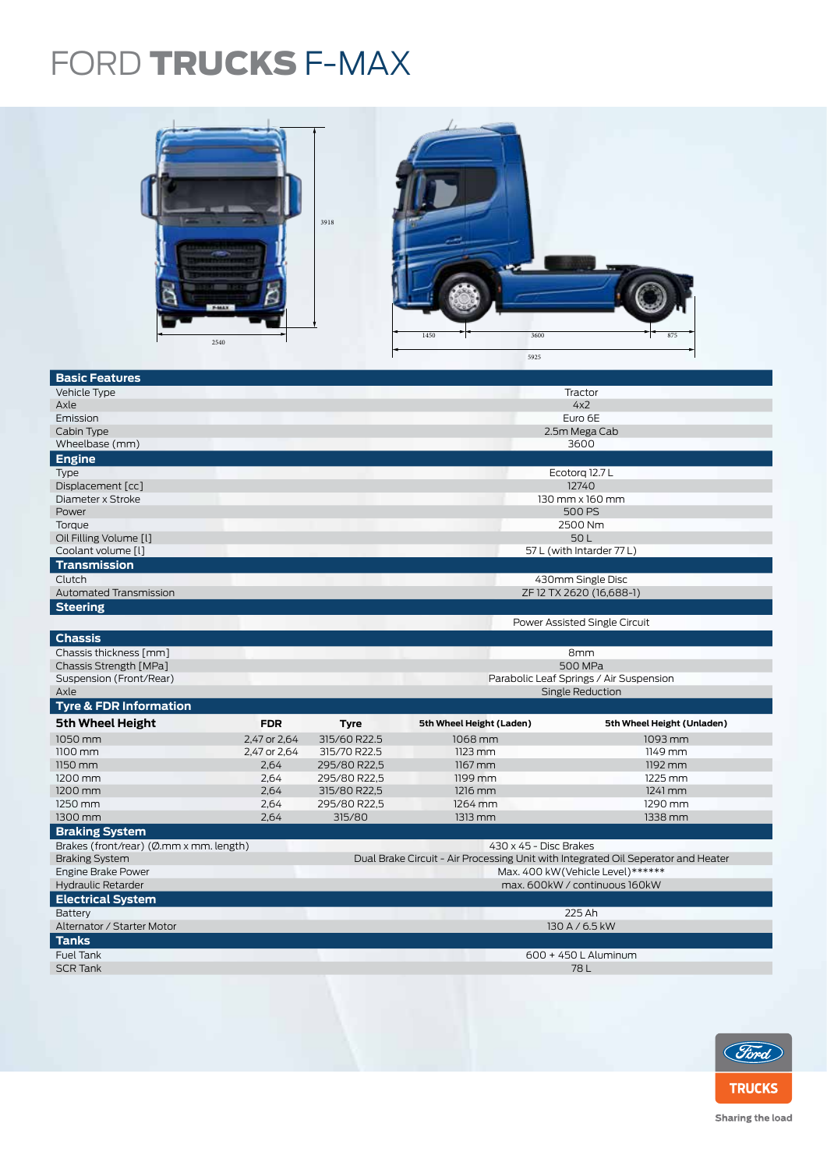## FORD TRUCKS F-MAX



| <b>Basic Features</b>                   |              |                                         |                                                                                   |                                   |  |  |
|-----------------------------------------|--------------|-----------------------------------------|-----------------------------------------------------------------------------------|-----------------------------------|--|--|
| Vehicle Type                            |              |                                         |                                                                                   | Tractor                           |  |  |
| Axle                                    | 4x2          |                                         |                                                                                   |                                   |  |  |
| Emission                                |              | Euro 6E                                 |                                                                                   |                                   |  |  |
| Cabin Type                              |              | 2.5m Mega Cab                           |                                                                                   |                                   |  |  |
| Wheelbase (mm)                          |              |                                         | 3600                                                                              |                                   |  |  |
| <b>Engine</b>                           |              |                                         |                                                                                   |                                   |  |  |
| Type                                    |              |                                         |                                                                                   |                                   |  |  |
| Displacement [cc]                       |              | Ecotorg 12.7 L<br>12740                 |                                                                                   |                                   |  |  |
| Diameter x Stroke                       |              | $130$ mm $\times$ 160 mm                |                                                                                   |                                   |  |  |
| Power                                   |              | 500 PS                                  |                                                                                   |                                   |  |  |
| Torque                                  |              |                                         |                                                                                   |                                   |  |  |
| Oil Filling Volume [1]                  |              | 2500 Nm                                 |                                                                                   |                                   |  |  |
| Coolant volume [l]                      |              | 50L<br>57 L (with Intarder 77 L)        |                                                                                   |                                   |  |  |
|                                         |              |                                         |                                                                                   |                                   |  |  |
| <b>Transmission</b>                     |              |                                         |                                                                                   |                                   |  |  |
| Clutch                                  |              |                                         |                                                                                   | 430mm Single Disc                 |  |  |
| <b>Automated Transmission</b>           |              |                                         |                                                                                   | ZF12 TX 2620 (16,688-1)           |  |  |
| <b>Steering</b>                         |              |                                         |                                                                                   |                                   |  |  |
|                                         |              |                                         |                                                                                   | Power Assisted Single Circuit     |  |  |
| <b>Chassis</b>                          |              |                                         |                                                                                   |                                   |  |  |
| Chassis thickness [mm]                  |              | 8mm                                     |                                                                                   |                                   |  |  |
| Chassis Strength [MPa]                  |              | <b>500 MPa</b>                          |                                                                                   |                                   |  |  |
|                                         |              | Parabolic Leaf Springs / Air Suspension |                                                                                   |                                   |  |  |
|                                         |              |                                         |                                                                                   |                                   |  |  |
| Suspension (Front/Rear)<br>Axle         |              |                                         |                                                                                   |                                   |  |  |
|                                         |              |                                         |                                                                                   | Single Reduction                  |  |  |
| <b>Tyre &amp; FDR Information</b>       |              |                                         |                                                                                   |                                   |  |  |
| <b>5th Wheel Height</b>                 | <b>FDR</b>   | <b>Tyre</b>                             | 5th Wheel Height (Laden)                                                          | 5th Wheel Height (Unladen)        |  |  |
| 1050 mm                                 | 2,47 or 2,64 | 315/60 R22.5                            | 1068 mm                                                                           | 1093 mm                           |  |  |
| $1100$ mm                               | 2,47 or 2,64 | 315/70 R22.5                            | $1123$ mm                                                                         | 1149 mm                           |  |  |
| 1150 mm                                 | 2,64         | 295/80 R22,5                            | $1167$ mm                                                                         | 1192 mm                           |  |  |
| 1200 mm                                 | 2,64         | 295/80 R22,5                            | 1199 mm                                                                           | 1225 mm                           |  |  |
| 1200 mm                                 | 2,64         | 315/80 R22,5                            | 1216 mm                                                                           | $1241$ mm                         |  |  |
| 1250 mm                                 | 2,64         | 295/80 R22,5                            | 1264 mm                                                                           | 1290 mm                           |  |  |
| 1300 mm                                 | 2,64         | 315/80                                  | 1313 mm                                                                           | 1338 mm                           |  |  |
| <b>Braking System</b>                   |              |                                         |                                                                                   |                                   |  |  |
| Brakes (front/rear) (Ø.mm x mm. length) |              |                                         | 430 x 45 - Disc Brakes                                                            |                                   |  |  |
| <b>Braking System</b>                   |              |                                         | Dual Brake Circuit - Air Processing Unit with Integrated Oil Seperator and Heater |                                   |  |  |
| Engine Brake Power                      |              |                                         |                                                                                   | Max. 400 kW (Vehicle Level)****** |  |  |
| Hydraulic Retarder                      |              |                                         |                                                                                   | max. 600kW / continuous 160kW     |  |  |
| <b>Electrical System</b>                |              |                                         |                                                                                   |                                   |  |  |
| Battery                                 |              |                                         |                                                                                   | 225 Ah                            |  |  |
| Alternator / Starter Motor              |              |                                         |                                                                                   | 130 A / 6.5 kW                    |  |  |
| <b>Tanks</b>                            |              |                                         |                                                                                   |                                   |  |  |
| Fuel Tank                               |              |                                         |                                                                                   | 600 + 450 L Aluminum              |  |  |
| <b>SCR Tank</b>                         |              |                                         |                                                                                   | 78L                               |  |  |
|                                         |              |                                         |                                                                                   |                                   |  |  |



Sharing the load